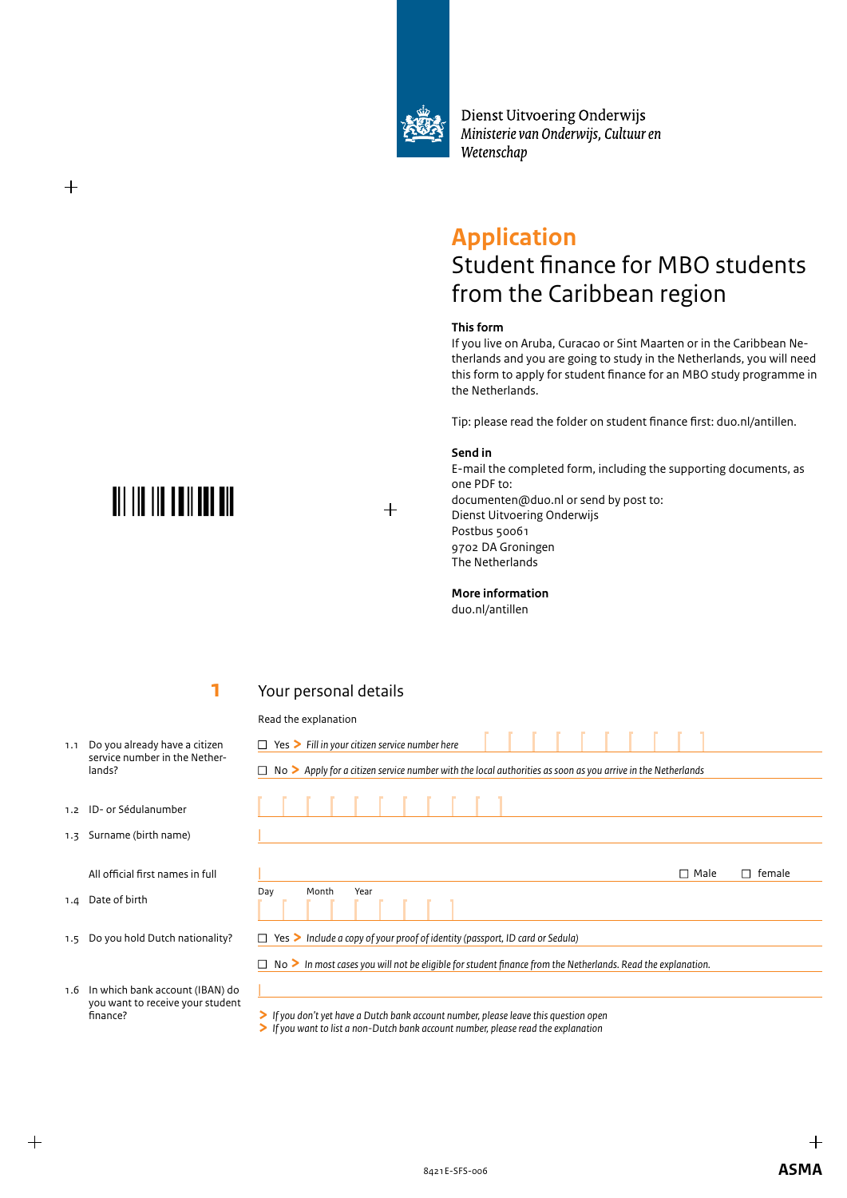

Dienst Uitvoering Onderwijs Ministerie van Onderwijs, Cultuur en Wetenschap

## **Application**

## Student finance for MBO students from the Caribbean region

#### **This form**

If you live on Aruba, Curacao or Sint Maarten or in the Caribbean Netherlands and you are going to study in the Netherlands, you will need this form to apply for student finance for an MBO study programme in the Netherlands.

Tip: please read the folder on student finance first: duo.nl/antillen.

#### **Send in**

 $+$ 

E-mail the completed form, including the supporting documents, as one PDF to: documenten@duo.nl or send by post to: Dienst Uitvoering Onderwijs Postbus 50061 9702 DA Groningen The Netherlands

**More information**

duo.nl/antillen

## **1**

## Your personal details

#### Read the explanation

- □ Yes > Fill in your citizen service number here <sup>n</sup> No **>** *Apply for a citizen service number with the local authorities as soon as you arrive in the Netherlands*  $\Box$  Male  $\Box$  female Day Month Year <sup>n</sup> Yes **>** *Include a copy of your proof of identity (passport, ID card or Sedula)* <sup>n</sup> No **>** *In most cases you will not be eligible for student finance from the Netherlands. Read the explanation.*
- 1.6 In which bank account (IBAN) do you want to receive your student finance?
- **>** *If you don't yet have a Dutch bank account number, please leave this question open*

**>** *If you want to list a non-Dutch bank account number, please read the explanation*

**TIT THE THE THEIR THE** 

 $^{+}$ 

1.1 Do you already have a citizen service number in the Netherlands?

- 1.2 ID- or Sédulanumber
- 1.3 Surname (birth name)

All official first names in full

- 1.4 Date of birth
- 1.5 Do you hold Dutch nationality?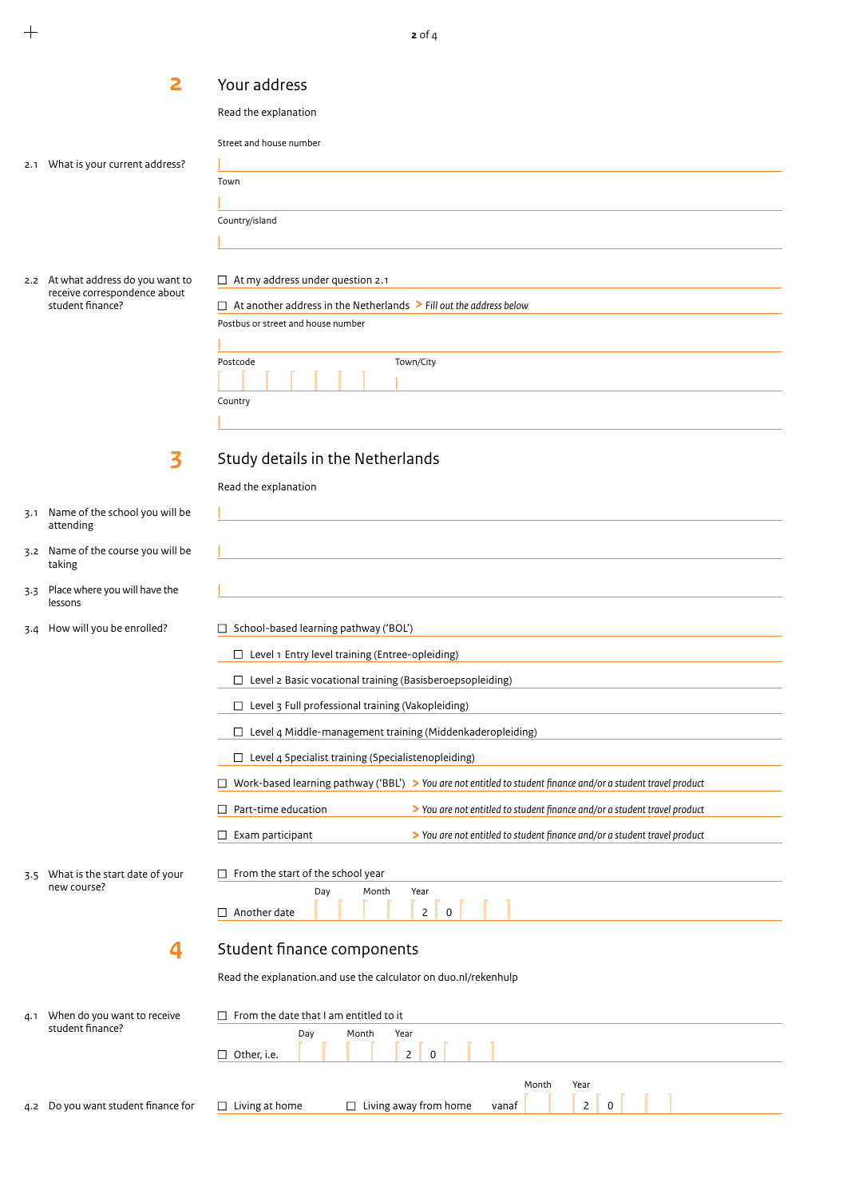**2** of 4

 **2** Your address

2.1 What is your current address?

2.2 At what address do you want to receive correspondence about student finance?

| Read the explanation                                                         |
|------------------------------------------------------------------------------|
| Street and house number                                                      |
|                                                                              |
| Town                                                                         |
|                                                                              |
| Country/island                                                               |
|                                                                              |
|                                                                              |
|                                                                              |
| At my address under question 2.1<br>□                                        |
| At another address in the Netherlands $\geq$ Fill out the address below<br>П |
| Postbus or street and house number                                           |
|                                                                              |
| Town/City<br>Postcode                                                        |
|                                                                              |

**3** 

Country |

Study details in the Netherlands

- 3.1 Name of the school you will be attending
- 3.2 Name of the course you will be taking
- 3.3 Place where you will have the lessons

3.5 What is the start date of your

**4**

new course?

3.4 How will you be enrolled?

| School-based learning pathway ('BOL')                     |                                                                                                               |
|-----------------------------------------------------------|---------------------------------------------------------------------------------------------------------------|
| Level 1 Entry level training (Entree-opleiding)           |                                                                                                               |
| Level 2 Basic vocational training (Basisberoepsopleiding) |                                                                                                               |
| Level 3 Full professional training (Vakopleiding)         |                                                                                                               |
|                                                           | Level 4 Middle-management training (Middenkaderopleiding)                                                     |
| Level 4 Specialist training (Specialistenopleiding)       |                                                                                                               |
|                                                           | Work-based learning pathway ('BBL') > You are not entitled to student finance and/or a student travel product |
| Part-time education                                       | > You are not entitled to student finance and/or a student travel product                                     |
| Exam participant                                          | > You are not entitled to student finance and/or a student travel product                                     |
|                                                           |                                                                                                               |
| From the start of the school year                         |                                                                                                               |
|                                                           |                                                                                                               |
| Day<br>Month                                              | Year                                                                                                          |

Read the explanation.and use the calculator on duo.nl/rekenhulp

| 4.1 | When do you want to receive         | $\Box$ From the date that I am entitled to it |     |       |                                    |                |                      |
|-----|-------------------------------------|-----------------------------------------------|-----|-------|------------------------------------|----------------|----------------------|
|     | student finance?                    | $\Box$ Other, i.e.                            | Day | Month | Year<br>$\overline{2}$<br>$\Omega$ |                |                      |
|     | 4.2 Do you want student finance for | Living at home<br>□                           |     |       | $\Box$ Living away from home       | Month<br>vanaf | Year<br>$\mathsf{2}$ |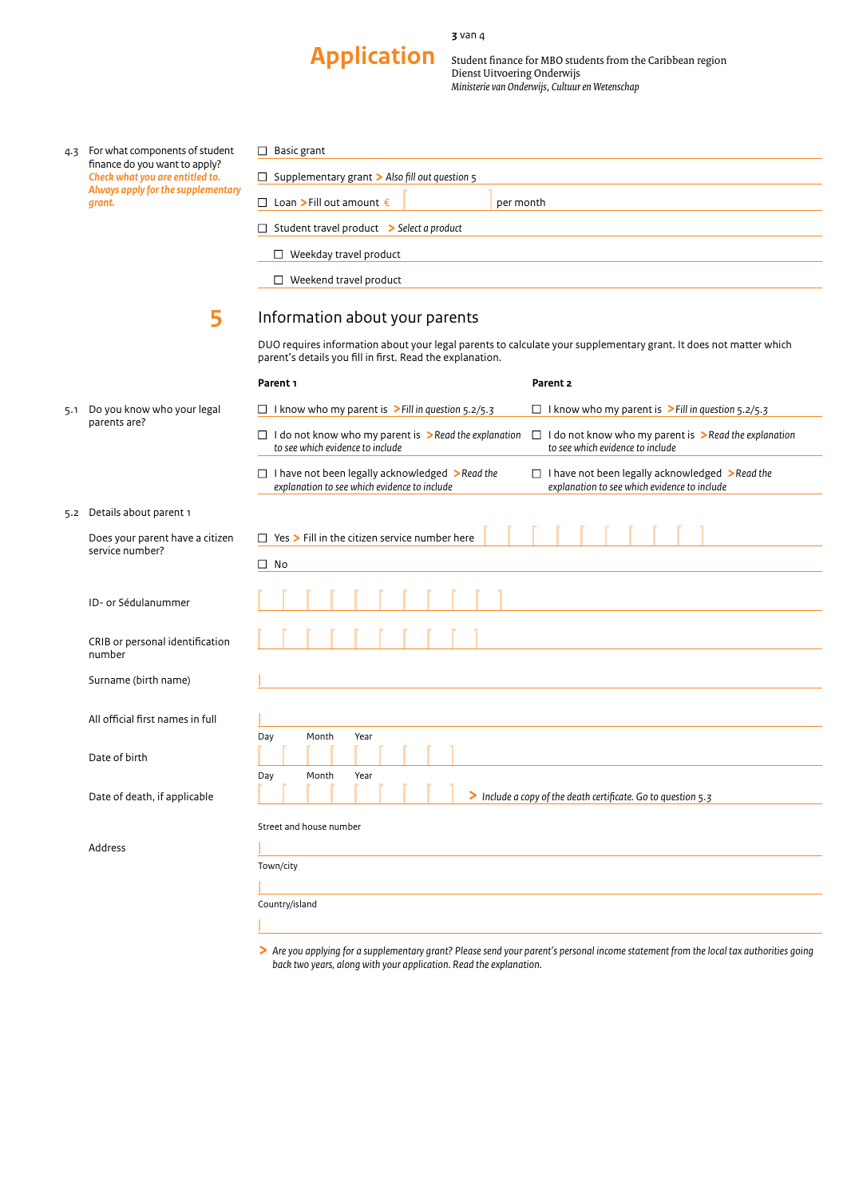#### **3** van 4

# **Post 30 text** 30 text 30 text 31 text 31 text 31 text 31 text 31 text 31 text 31 text 31 text 31 text 31 text 31 text 31 text 31 text 31 text 31 text 31 text 31 text 31 text 31 text 31 text 31 text 31 text 31 text 31 text

Student finance for MBO students from the Caribbean region Dienst Uitvoering Onderwijs *Ministerie van Onderwijs, Cultuur en Wetenschap*

| 4.3 | For what components of student     |
|-----|------------------------------------|
|     | finance do you want to apply?      |
|     | Check what you are entitled to.    |
|     | Always apply for the supplementary |
|     | arant.                             |

| Basic grant<br>$\Box$                                                          |           |
|--------------------------------------------------------------------------------|-----------|
|                                                                                |           |
| Supplementary grant $\triangleright$ Also fill out question $\frac{1}{5}$<br>ப |           |
|                                                                                |           |
| $□$ Loan > Fill out amount €                                                   | per month |
|                                                                                |           |
| $\Box$ Student travel product $\triangleright$ Select a product                |           |
|                                                                                |           |
| Weekday travel product                                                         |           |
|                                                                                |           |
| Weekend travel product                                                         |           |
|                                                                                |           |

### Information about your parents

DUO requires information about your legal parents to calculate your supplementary grant. It does not matter which parent's details you fill in first. Read the explanation.

|                                                    | Parent <sub>1</sub>                                                                                             | Parent 2                                                                                                        |
|----------------------------------------------------|-----------------------------------------------------------------------------------------------------------------|-----------------------------------------------------------------------------------------------------------------|
| Do you know who your legal                         | $\Box$ I know who my parent is > Fill in question 5.2/5.3                                                       | $\Box$ I know who my parent is > Fill in question 5.2/5.3                                                       |
| parents are?                                       | $\Box$ I do not know who my parent is $\triangleright$ Read the explanation<br>to see which evidence to include | $\Box$ I do not know who my parent is $\triangleright$ Read the explanation<br>to see which evidence to include |
|                                                    | $\Box$ I have not been legally acknowledged >Read the<br>explanation to see which evidence to include           | $\Box$ I have not been legally acknowledged > Read the<br>explanation to see which evidence to include          |
| Details about parent 1                             |                                                                                                                 |                                                                                                                 |
| Does your parent have a citizen<br>service number? | $\Box$ Yes $\triangleright$ Fill in the citizen service number here                                             |                                                                                                                 |
|                                                    | $\Box$ No                                                                                                       |                                                                                                                 |
| ID- or Sédulanummer                                |                                                                                                                 |                                                                                                                 |
| CRIB or personal identification<br>number          |                                                                                                                 |                                                                                                                 |
| Surname (birth name)                               |                                                                                                                 |                                                                                                                 |
| All official first names in full                   |                                                                                                                 |                                                                                                                 |
|                                                    | Month<br>Year<br>Day                                                                                            |                                                                                                                 |
| Date of birth                                      |                                                                                                                 |                                                                                                                 |
| Date of death, if applicable                       | Month<br>Year<br>Day                                                                                            | > Include a copy of the death certificate. Go to question 5.3                                                   |
|                                                    | Street and house number                                                                                         |                                                                                                                 |
| Address                                            |                                                                                                                 |                                                                                                                 |
|                                                    | Town/city                                                                                                       |                                                                                                                 |
|                                                    |                                                                                                                 |                                                                                                                 |
|                                                    | Country/island                                                                                                  |                                                                                                                 |
|                                                    |                                                                                                                 |                                                                                                                 |

**>** *Are you applying for a supplementary grant? Please send your parent's personal income statement from the local tax authorities going back two years, along with your application. Read the explanation.*

5.1 Do you know parents are?

**5** 

5.2 Details abou

|                     | . |
|---------------------|---|
|                     |   |
| ID- or Sédulanummer |   |
|                     |   |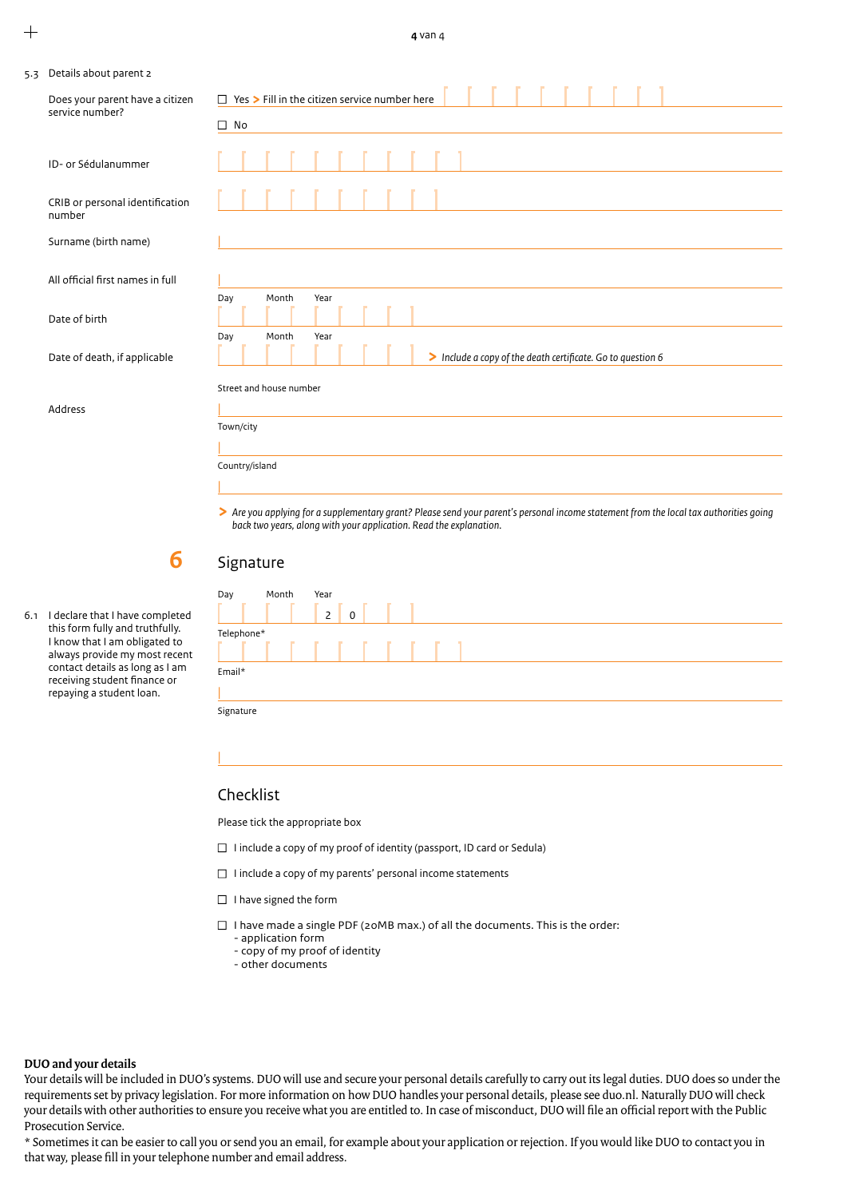|  | 5.3 Details about parent 2 |  |
|--|----------------------------|--|
|--|----------------------------|--|

| Does your parent have a citizen<br>service number? | $\Box$ Yes $\triangleright$ Fill in the citizen service number here                                                                                                                                          |  |  |  |  |  |
|----------------------------------------------------|--------------------------------------------------------------------------------------------------------------------------------------------------------------------------------------------------------------|--|--|--|--|--|
|                                                    | $\Box$ No                                                                                                                                                                                                    |  |  |  |  |  |
| ID- or Sédulanummer                                |                                                                                                                                                                                                              |  |  |  |  |  |
| CRIB or personal identification<br>number          |                                                                                                                                                                                                              |  |  |  |  |  |
| Surname (birth name)                               |                                                                                                                                                                                                              |  |  |  |  |  |
| All official first names in full                   |                                                                                                                                                                                                              |  |  |  |  |  |
| Date of birth                                      | Day<br>Month<br>Year                                                                                                                                                                                         |  |  |  |  |  |
| Date of death, if applicable                       | Month<br>Year<br>Day<br>> Include a copy of the death certificate. Go to question 6                                                                                                                          |  |  |  |  |  |
|                                                    | Street and house number                                                                                                                                                                                      |  |  |  |  |  |
| Address                                            |                                                                                                                                                                                                              |  |  |  |  |  |
|                                                    | Town/city                                                                                                                                                                                                    |  |  |  |  |  |
|                                                    |                                                                                                                                                                                                              |  |  |  |  |  |
|                                                    | Country/island                                                                                                                                                                                               |  |  |  |  |  |
|                                                    |                                                                                                                                                                                                              |  |  |  |  |  |
|                                                    | > Are you applying for a supplementary grant? Please send your parent's personal income statement from the local tax authorities going<br>back two years, along with your application. Read the explanation. |  |  |  |  |  |

| 6.1 | I declare that I have completed |
|-----|---------------------------------|
|     | this form fully and truthfully. |
|     | I know that I am obligated to   |
|     | always provide my most recent   |
|     | contact details as long as I am |
|     | receiving student finance or    |
|     | repaying a student loan.        |

**6 6 6** 

## Signature

| Day        | Month | Year                     |
|------------|-------|--------------------------|
|            |       | $\mathsf{2}$<br>$\Omega$ |
| Telephone* |       |                          |
|            |       | .                        |
| Email*     |       |                          |
|            |       |                          |
| Signature  |       |                          |

#### Checklist

|

Please tick the appropriate box

- $\Box$  I include a copy of my proof of identity (passport, ID card or Sedula)
- $\Box$  I include a copy of my parents' personal income statements
- $\Box$  I have signed the form
- $\square$  I have made a single PDF (20MB max.) of all the documents. This is the order:
	- application form - copy of my proof of identity
	- other documents

#### **DUO and your details**

Your details will be included in DUO's systems. DUO will use and secure your personal details carefully to carry out its legal duties. DUO does so under the requirements set by privacy legislation. For more information on how DUO handles your personal details, please see duo.nl. Naturally DUO will check your details with other authorities to ensure you receive what you are entitled to. In case of misconduct, DUO will file an official report with the Public Prosecution Service.

\* Sometimes it can be easier to call you or send you an email, for example about your application or rejection. If you would like DUO to contact you in that way, please fill in your telephone number and email address.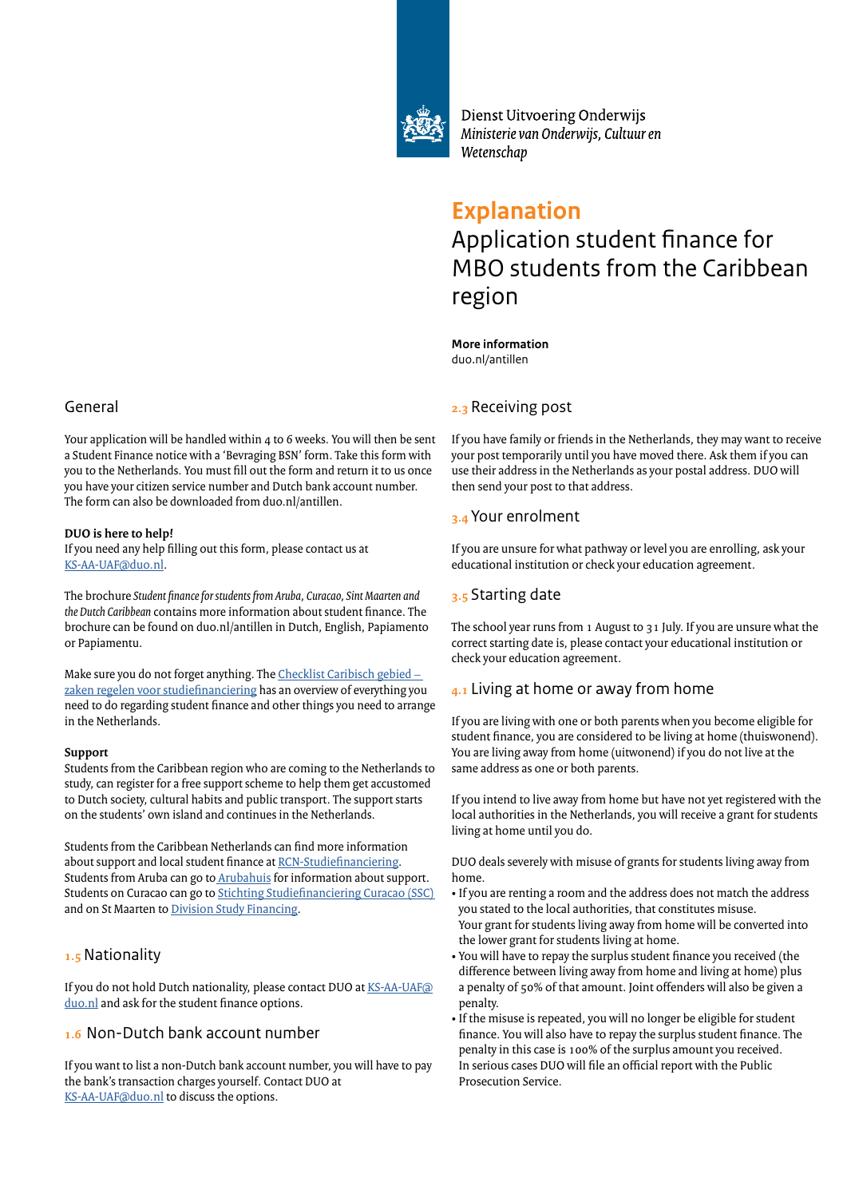

Dienst Uitvoering Onderwijs Ministerie van Onderwijs, Cultuur en Wetenschap

# **Explanation** Application student finance for MBO students from the Caribbean region

#### **More information** duo.nl/antillen

## **2.3** Receiving post

If you have family or friends in the Netherlands, they may want to receive your post temporarily until you have moved there. Ask them if you can use their address in the Netherlands as your postal address. DUO will then send your post to that address.

## **3.4** Your enrolment

If you are unsure for what pathway or level you are enrolling, ask your educational institution or check your education agreement.

## **3.5** Starting date

The school year runs from 1 August to 31 July. If you are unsure what the correct starting date is, please contact your educational institution or check your education agreement.

## **4.1** Living at home or away from home

If you are living with one or both parents when you become eligible for student finance, you are considered to be living at home (thuiswonend). You are living away from home (uitwonend) if you do not live at the same address as one or both parents.

If you intend to live away from home but have not yet registered with the local authorities in the Netherlands, you will receive a grant for students living at home until you do.

DUO deals severely with misuse of grants for students living away from home.

- If you are renting a room and the address does not match the address you stated to the local authorities, that constitutes misuse. Your grant for students living away from home will be converted into the lower grant for students living at home.
- You will have to repay the surplus student finance you received (the difference between living away from home and living at home) plus a penalty of 50% of that amount. Joint offenders will also be given a penalty.
- If the misuse is repeated, you will no longer be eligible for student finance. You will also have to repay the surplus student finance. The penalty in this case is 100% of the surplus amount you received. In serious cases DUO will file an official report with the Public Prosecution Service.

## General

Your application will be handled within 4 to 6 weeks. You will then be sent a Student Finance notice with a 'Bevraging BSN' form. Take this form with you to the Netherlands. You must fill out the form and return it to us once you have your citizen service number and Dutch bank account number. The form can also be downloaded from duo.nl/antillen.

#### **DUO is here to help!**

If you need any help filling out this form, please contact us at KS[-AA-UAF@duo.nl.](mailto:KS-AA-UAF%40duo.nl?subject=) 

The brochure *Student finance for students from Aruba, Curacao, Sint Maarten and the Dutch Caribbean* contains more information about student finance. The brochure can be found on duo.nl/antillen in Dutch, English, Papiamento or Papiamentu.

Make sure you do [not forget anything. The Checklist Caribisch gebied –](https://duo.nl/images/checklist-antillen-zaken-regelen-voor-studiefinanciering-nl.pdf) [zaken regelen voor](https://duo.nl/images/checklist-antillen-zaken-regelen-voor-studiefinanciering-nl.pdf) studiefinanciering has an overview of everything you need to do regarding student finance and other things you need to arrange in the Netherlands.

#### **Support**

Students from the Caribbean region who are coming to the Netherlands to study, can register for a free support scheme to help them get accustomed to Dutch society, cultural habits and public transport. The support starts on the students' own island and continues in the Netherlands.

Students from the Caribbean Netherlands can find more information about support and local student finance at [RCN-Studiefinanciering.](https://www.rijksdienstcn.com/onderwijs-cultuur-wetenschap/studiefinanciering)  Students from Aruba can go to **Arubahuis** for information about support. Students on Curacao can go to [Stichting Studiefinanciering Curacao \(SSC\)](http://www.ssc.cw/studeren-in-nederland/aanvragen-en-voorwaarden/)  and on St Maarten to D[ivision Study Financing.](https://studyfinancing-sxm.com/)

## **1.5** Nationality

If you do not hold Dutch nationality, please contact DU[O at KS-AA-UAF@](mailto:KS-AA-UAF%40duo.nl%20?subject=) duo.nl and ask for the student finance options.

## **1.6** Non-Dutch bank account number

If you want to list a non-Dutch bank account number, you will have to pay the bank's transaction charges yourself. Contact DUO at [KS-AA-UAF@duo.nl](mailto:KS-AA-UAF%40duo.nl?subject=) to discuss the options.